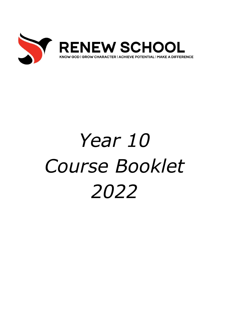

# *Year 10 Course Booklet 2022*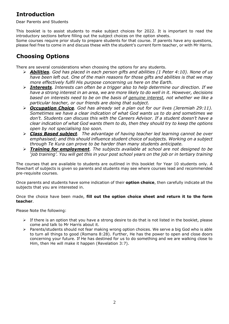## **Introduction**

Dear Parents and Students

This booklet is to assist students to make subject choices for 2022. It is important to read the introductory sections before filling out the subject choices on the option sheets.

Some courses require prior study to prepare students for that course. If parents have any questions, please feel free to come in and discuss these with the student's current form teacher, or with Mr Harris.

# **Choosing Options**

There are several considerations when choosing the options for any students.

- ➢ *Abilities. God has placed in each person gifts and abilities (1 Peter 4:10). None of us have been left out. One of the main reasons for those gifts and abilities is that we may more effectively fulfil His purpose concerning us here on the Earth.*
- ➢ *Interests. Interests can often be a trigger also to help determine our direction. If we have a strong interest in an area, we are more likely to do well in it. However, decisions based on interests need to be on the basis of genuine interest, not whether we like a particular teacher, or our friends are doing that subject.*
- ➢ *Occupation Choice. God has already set a plan out for our lives (Jeremiah 29:11). Sometimes we have a clear indication of what God wants us to do and sometimes we don't. Students can discuss this with the Careers Advisor. If a student doesn't have a clear indication of what God wants them to do, then they should try to keep the options open by not specialising too soon.*
- ➢ *Class Based subject. The advantage of having teacher led learning cannot be over emphasised; and this should influence student choice of subjects. Working on a subject through Te Kura can prove to be harder than many students anticipate.*
- ➢ *Training for employment. The subjects available at school are not designed to be 'job training'. You will get this in your post school years on the job or in tertiary training*

The courses that are available to students are outlined in this booklet for Year 10 students only. A flowchart of subjects is given so parents and students may see where courses lead and recommended pre-requisite courses.

Once parents and students have some indication of their **option choice**, then carefully indicate all the subjects that you are interested in.

Once the choice have been made, **fill out the option choice sheet and return it to the form teacher**.

Please Note the following:

- $\triangleright$  If there is an option that you have a strong desire to do that is not listed in the booklet, please come and talk to Mr Harris about it.
- ➢ Parents/students should not fear making wrong option choices. We serve a big God who is able to turn all things to good (Romans 8:28). Further, He has the power to open and close doors concerning your future. If He has destined for us to do something and we are walking close to Him, then He will make it happen (Revelation 3:7).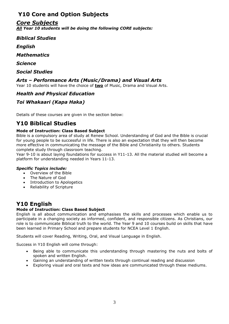# **Y10 Core and Option Subjects**

## *Core Subjects*

*All Year 10 students will be doing the following CORE subjects:*

*Biblical Studies*

*English*

*Mathematics*

*Science*

*Social Studies*

## *Arts – Performance Arts (Music/Drama) and Visual Arts*

Year 10 students will have the choice of **two** of Music, Drama and Visual Arts.

### *Health and Physical Education*

## *Toi Whakaari (Kapa Haka)*

Details of these courses are given in the section below:

# **Y10 Biblical Studies**

#### **Mode of Instruction: Class Based Subject**

Bible is a compulsory area of study at Renew School. Understanding of God and the Bible is crucial for young people to be successful in life. There is also an expectation that they will then become more effective in communicating the message of the Bible and Christianity to others. Students complete study through classroom teaching.

Year 9-10 is about laying foundations for success in Y11-13. All the material studied will become a platform for understanding needed in Years 11-13.

#### *Specific Topics include:*

- Overview of the Bible
- The Nature of God
- Introduction to Apologetics
- Reliability of Scripture

## **Y10 English**

#### **Mode of Instruction: Class Based Subject**

English is all about communication and emphasises the skills and processes which enable us to participate in a changing society as informed, confident, and responsible citizens. As Christians, our role is to communicate Biblical truth to the world. The Year 9 and 10 courses build on skills that have been learned in Primary School and prepare students for NCEA Level 1 English.

Students will cover Reading, Writing, Oral, and Visual Language in English.

Success in Y10 English will come through:

- Being able to communicate this understanding through mastering the nuts and bolts of spoken and written English.
- Gaining an understanding of written texts through continual reading and discussion
- Exploring visual and oral texts and how ideas are communicated through these mediums.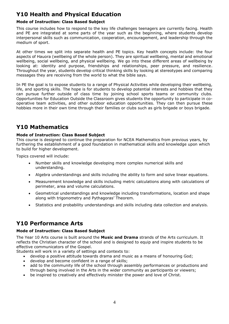# **Y10 Health and Physical Education**

#### **Mode of Instruction: Class Based Subject**

This course includes how to respond to the key life challenges teenagers are currently facing. Health and PE are integrated at some parts of the year such as the beginning, where students develop interpersonal skills such as communication, cooperation, encouragement, and leadership through the medium of sport.

At other times we split into separate health and PE topics. Key health concepts include: the four aspects of Hauora (wellbeing of the whole person). They are spiritual wellbeing, mental and emotional wellbeing, social wellbeing, and physical wellbeing. We go into these different areas of wellbeing by looking at: identity and purpose, friendships and relationships, peer pressure, and resilience. Throughout the year, students develop critical thinking skills by looking at stereotypes and comparing messages they are receiving from the world to what the bible says.

In PE the goal is to expose students to a range of Physical Activities while developing their wellbeing, life, and sporting skills. The hope is for students to develop potential interests and hobbies that they can pursue further outside of class time by joining school sports teams or community clubs. Opportunities for Education Outside the Classroom gives students the opportunity to participate in cooperative team activities, and other outdoor education opportunities. They can then pursue these hobbies more in their own time through their families or clubs such as girls brigade or boys brigade.

## **Y10 Mathematics**

#### **Mode of Instruction: Class Based Subject**

This course is designed to continue the preparation for NCEA Mathematics from previous years, by furthering the establishment of a good foundation in mathematical skills and knowledge upon which to build for higher development.

Topics covered will include:

- Number skills and knowledge developing more complex numerical skills and understanding.
- Algebra understandings and skills including the ability to form and solve linear equations.
- Measurement knowledge and skills including metric calculations along with calculations of perimeter, area and volume calculations.
- Geometrical understandings and knowledge including transformations, location and shape along with trigonometry and Pythagoras' Theorem.
- Statistics and probability understandings and skills including data collection and analysis.

## **Y10 Performance Arts**

#### **Mode of Instruction: Class Based Subject**

The Year 10 Arts course is built around the **Music and Drama** strands of the Arts curriculum. It reflects the Christian character of the school and is designed to equip and inspire students to be effective communicators of the Gospel.

Students will work in a variety of settings and contexts to:

- develop a positive attitude towards drama and music as a means of honouring God;
- develop and become confident in a range of skills;
- add to the community life of the school through assembly performances or productions and through being involved in the Arts in the wider community as participants or viewers;
- be inspired to creatively and effectively minister the power and love of Christ.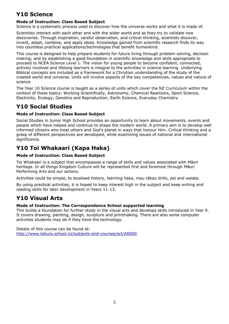# **Y10 Science**

#### **Mode of Instruction: Class Based Subject**

Science is a systematic process used to discover how the universe works and what it is made of.

Scientists interact with each other and with the wider world and as they try to validate new discoveries. Through inspiration, careful observation, and critical thinking, scientists discover, invent, adapt, combine, and apply ideas. Knowledge gained from scientific research finds its way into countless practical applications/technologies that benefit humankind.

This course is designed to help prepare students for future living through problem solving, decision making; and by establishing a good foundation in scientific knowledge and skills appropriate to proceed to NCEA Science Level 1. The vision for young people to become confident, connected, actively involved and lifelong learners is integral to the activities in science learning. Underlying Biblical concepts are included as a framework for a Christian understanding of the study of the created world and universe. Units will involve aspects of the key competencies, values and nature of science

The Year 10 Science course is taught as a series of units which cover the NZ Curriculum within the context of these topics: Working Scientifically, Astronomy, Chemical Reactions, Sport Science, Electricity, Ecology, Genetics and Reproduction, Earth Science, Everyday Chemistry

## **Y10 Social Studies**

#### **Mode of Instruction: Class Based Subject**

Social Studies in Junior High School provides an opportunity to learn about movements, events and people which have helped and continue to shape the modern world. A primary aim is to develop well informed citizens who treat others and God's planet in ways that honour Him. Critical thinking and a grasp of different perspectives are developed, while examining issues of national and international significance.

# **Y10 Toi Whakaari (Kapa Haka)**

#### **Mode of Instruction: Class Based Subject**

Toi Whakaari is a subject that encompasses a range of skills and values associated with Māori heritage. In all things Kingdom Culture will be represented first and foremost through Māori Performing Arts and our actions.

Activities could be simple, to localised history, learning haka, mau rākau drills, poi and waiata.

By using practical activities, it is hoped to keep interest high in the subject and keep writing and reading skills for later development in Years 11-13.

# **Y10 Visual Arts**

#### **Mode of Instruction: The Correspondence School supported learning**

This builds a foundation for further study in the visual arts and develops skills introduced in Year 9. It covers drawing, painting, design, sculpture and printmaking. There are also some computer activities students may do if they have the technology.

Details of this course can be found at: http://www.tekura.school.nz/subjects-and-courses/art/AR000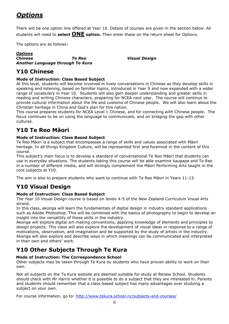# *Options*

There will be one option line offered at Year 10. Details of courses are given in the section below. All students will need to **select ONE option.** Then enter these on the return sheet for Options.

The options are as follows:

#### *Options Chinese Te Reo Visual Design Another Language through Te Kura*

# **Y10 Chinese**

#### **Mode of Instruction: Class Based Subject**

At this level, students will become involved in lively conversations in Chinese as they develop skills in speaking and listening, based on familiar topics, introduced in Year 9 and now expanded with a wider range of vocabulary in Year 10. Students will also gain deeper understanding and greater skills in reading and writing Chinese characters, preparing for NCEA next year. The course will continue to provide cultural information about the life and customs of Chinese people. We will also learn about the Christian heritage in China and God's plan for this nation.

This course prepares students for NCEA Level 1 Chinese, and for connecting with Chinese people. The focus continues to be on using the language to communicate, and on bridging the gap with other cultures.

# **Y10 Te Reo Māori**

#### **Mode of Instruction: Class Based Subject**

Te Reo Māori is a subject that encompasses a range of skills and values associated with Māori heritage. In all things Kingdom Culture, will be represented first and foremost in the content of this course.

This subject's main focus is to develop a standard of conversational Te Reo Māori that students can use in everyday situations. The students taking this course will be able examine kaupapa and Te Reo in a number of different media, and will strongly complement the Māori Performing Arts taught in the core subjects at Y10.

The aim is also to prepare students who want to continue with Te Reo Māori in Years 11-13.

# **Y10 Visual Design**

#### **Mode of Instruction: Class Based Subject**

The Year 10 Visual Design course is based on levels 4-5 of the New Zealand Curriculum Visual Arts strand.

In this class, akonga will learn the fundamentals of digital design in industry standard applications such as Adobe Photoshop. This will be combined with the basics of photography to begin to develop an insight into the versatility of these skills in the industry.

Akonga will explore digital art-making conventions, applying knowledge of elements and principles to design projects. This class will also explore the development of visual ideas in response to a range of motivations, observation, and imagination and be supported by the study of artists in the industry. Akonga will also explore and describe ways in which meanings can be communicated and interpreted in their own and others' work.

## **Y10 Other Subjects Through Te Kura**

#### **Mode of Instruction: The Correspondence School**

Other subjects may be taken through Te Kura by students who have proven ability to work on their own.

Not all subjects on the Te Kura website are deemed suitable for study at Renew School. Students should check with Mr Harris whether it is possible to do a subject that they are interested in. Parents and students should remember that a class-based subject has many advantages over studying a subject on your own.

For course information, go to: <http://www.tekura.school.nz/subjects-and-courses/>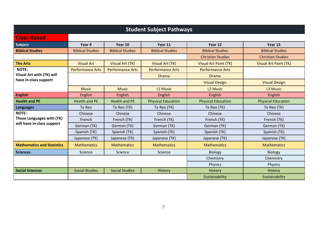| <b>Student Subject Pathways</b>   |                         |                         |                           |                              |                              |  |  |  |
|-----------------------------------|-------------------------|-------------------------|---------------------------|------------------------------|------------------------------|--|--|--|
| <b>Class-Based</b>                |                         |                         |                           |                              |                              |  |  |  |
| Subject                           | Year 9                  | Year 10                 | Year 11                   | Year 12                      | Year 13                      |  |  |  |
| <b>Biblical Studies</b>           | <b>Biblical Studies</b> | <b>Biblical Studies</b> | <b>Biblical Studies</b>   | <b>Biblical Studies</b>      | <b>Biblical Studies</b>      |  |  |  |
|                                   |                         |                         |                           | <b>Christian Studies</b>     | <b>Christian Studies</b>     |  |  |  |
| <b>The Arts</b>                   | <b>Visual Art</b>       | <b>Visual Art (TK)</b>  | <b>Visual Art (TK)</b>    | <b>Visual Art Paint (TK)</b> | <b>Visual Art Paint (TK)</b> |  |  |  |
| <b>NOTE:</b>                      | <b>Performance Arts</b> | <b>Performance Arts</b> | <b>Performance Arts</b>   | <b>Performance Arts</b>      |                              |  |  |  |
| Visual Art with (TK) will         | <b>Drama</b>            |                         | <b>Drama</b>              |                              |                              |  |  |  |
| have in-class support             |                         |                         |                           | <b>Visual Design</b>         | <b>Visual Design</b>         |  |  |  |
|                                   | <b>Music</b>            | <b>Music</b>            | L1 Music                  | L <sub>2</sub> Music         | L3 Music                     |  |  |  |
| <b>English</b>                    | <b>English</b>          | English                 | English                   | <b>English</b>               | English                      |  |  |  |
| <b>Health and PE</b>              | <b>Health and PE</b>    | <b>Health and PE</b>    | <b>Physical Education</b> | <b>Physical Education</b>    | <b>Physical Education</b>    |  |  |  |
| <b>Languages</b>                  | Te Reo                  | Te Reo (TK)             | Te Reo (TK)               | Te Reo (TK)                  | Te Reo (TK)                  |  |  |  |
| <b>NOTE:</b>                      | Chinese                 | Chinese                 | Chinese                   | Chinese                      | Chinese                      |  |  |  |
| Those Languages with (TK)         | French                  | French (TK)             | French (TK)               | French (TK)                  | French (TK)                  |  |  |  |
| will have in-class support        | German (TK)             | German (TK)             | German (TK)               | German (TK)                  | German (TK)                  |  |  |  |
|                                   | Spanish (TK)            | Spanish (TK)            | Spanish (TK)              | Spanish (TK)                 | Spanish (TK)                 |  |  |  |
|                                   | Japanese (TK)           | Japanese (TK)           | Japanese (TK)             | Japanese (TK)                | Japanese (TK)                |  |  |  |
| <b>Mathematics and Statistics</b> | <b>Mathematics</b>      | <b>Mathematics</b>      | <b>Mathematics</b>        | <b>Mathematics</b>           | <b>Mathematics</b>           |  |  |  |
| <b>Sciences</b>                   | Science                 | Science                 | Science                   | <b>Biology</b>               | <b>Biology</b>               |  |  |  |
|                                   |                         |                         |                           | Chemistry                    | Chemistry                    |  |  |  |
|                                   |                         |                         |                           | Physics                      | Physics                      |  |  |  |
| <b>Social Sciences</b>            | <b>Social Studies</b>   | <b>Social Studies</b>   | <b>History</b>            | History                      | History                      |  |  |  |
|                                   |                         |                         |                           | Sustainability               | Sustainability               |  |  |  |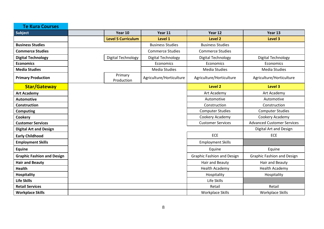| <b>Te Kura Courses</b>            |                           |                          |                                   |                                   |
|-----------------------------------|---------------------------|--------------------------|-----------------------------------|-----------------------------------|
| Subject                           | Year 10                   | Year 11                  | Year 12                           | Year 13                           |
|                                   | <b>Level 5 Curriculum</b> | Level 1                  | Level 2                           | Level 3                           |
| <b>Business Studies</b>           |                           | <b>Business Studies</b>  | <b>Business Studies</b>           |                                   |
| <b>Commerce Studies</b>           |                           | <b>Commerce Studies</b>  | <b>Commerce Studies</b>           |                                   |
| <b>Digital Technology</b>         | Digital Technology        | Digital Technology       | Digital Technology                | Digital Technology                |
| <b>Economics</b>                  |                           | Economics                | Economics                         | Economics                         |
| <b>Media Studies</b>              |                           | <b>Media Studies</b>     | <b>Media Studies</b>              | Media Studies                     |
| <b>Primary Production</b>         | Primary<br>Production     | Agriculture/Horticulture | Agriculture/Horticulture          | Agriculture/Horticulture          |
| <b>Star/Gateway</b>               |                           |                          | <b>Level 2</b>                    | Level 3                           |
| <b>Art Academy</b>                |                           |                          | Art Academy                       | Art Academy                       |
| <b>Automotive</b>                 |                           |                          | Automotive                        | Automotive                        |
| <b>Construction</b>               |                           |                          | Construction                      | Construction                      |
| <b>Computing</b>                  |                           |                          | <b>Computer Studies</b>           | <b>Computer Studies</b>           |
| Cookery                           |                           |                          | Cookery Academy                   | Cookery Academy                   |
| <b>Customer Services</b>          |                           |                          | <b>Customer Services</b>          | <b>Advanced Customer Services</b> |
| <b>Digital Art and Design</b>     |                           |                          |                                   | Digital Art and Design            |
| <b>Early Childhood</b>            |                           |                          | ECE                               | <b>ECE</b>                        |
| <b>Employment Skills</b>          |                           |                          | <b>Employment Skills</b>          |                                   |
| Equine                            |                           |                          | Equine                            | Equine                            |
| <b>Graphic Fashion and Design</b> |                           |                          | <b>Graphic Fashion and Design</b> | <b>Graphic Fashion and Design</b> |
| <b>Hair and Beauty</b>            |                           |                          | Hair and Beauty                   | Hair and Beauty                   |
| <b>Health</b>                     |                           |                          | <b>Health Academy</b>             | Health Academy                    |
| <b>Hospitality</b>                |                           |                          | Hospitality                       | Hospitality                       |
| <b>Life Skills</b>                |                           |                          | Life Skills                       |                                   |
| <b>Retail Services</b>            |                           |                          | Retail                            | Retail                            |
| <b>Workplace Skills</b>           |                           |                          | Workplace Skills                  | Workplace Skills                  |